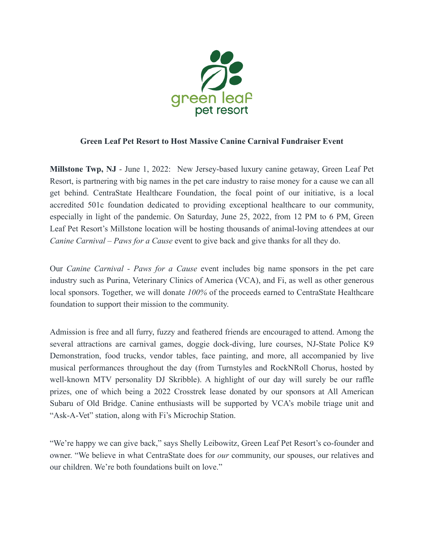

## **Green Leaf Pet Resort to Host Massive Canine Carnival Fundraiser Event**

**Millstone Twp, NJ** - June 1, 2022: New Jersey-based luxury canine getaway, Green Leaf Pet Resort, is partnering with big names in the pet care industry to raise money for a cause we can all get behind. CentraState Healthcare Foundation, the focal point of our initiative, is a local accredited 501c foundation dedicated to providing exceptional healthcare to our community, especially in light of the pandemic. On Saturday, June 25, 2022, from 12 PM to 6 PM, Green Leaf Pet Resort's Millstone location will be hosting thousands of animal-loving attendees at our *Canine Carnival – Paws for a Cause* event to give back and give thanks for all they do.

Our *Canine Carnival - Paws for a Cause* event includes big name sponsors in the pet care industry such as Purina, Veterinary Clinics of America (VCA), and Fi, as well as other generous local sponsors. Together, we will donate *100%* of the proceeds earned to CentraState Healthcare foundation to support their mission to the community.

Admission is free and all furry, fuzzy and feathered friends are encouraged to attend. Among the several attractions are carnival games, doggie dock-diving, lure courses, NJ-State Police K9 Demonstration, food trucks, vendor tables, face painting, and more, all accompanied by live musical performances throughout the day (from Turnstyles and RockNRoll Chorus, hosted by well-known MTV personality DJ Skribble). A highlight of our day will surely be our raffle prizes, one of which being a 2022 Crosstrek lease donated by our sponsors at All American Subaru of Old Bridge. Canine enthusiasts will be supported by VCA's mobile triage unit and "Ask-A-Vet" station, along with Fi's Microchip Station.

"We're happy we can give back," says Shelly Leibowitz, Green Leaf Pet Resort's co-founder and owner. "We believe in what CentraState does for *our* community, our spouses, our relatives and our children. We're both foundations built on love."